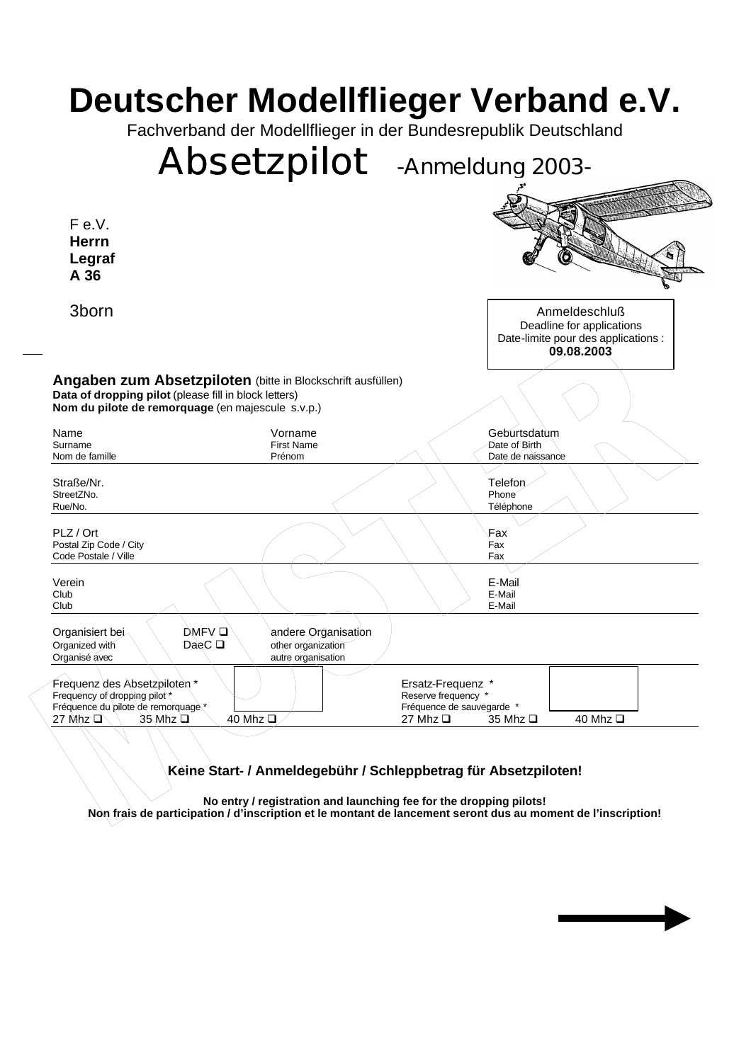## **Deutscher Modellflieger Verband e.V.**

Fachverband der Modellflieger in der Bundesrepublik Deutschland

## *Absetzpilot* **-Anmeldung 2003- Angaben zum Absetzpiloten** (bitte in Blockschrift ausfüllen) **Data of dropping pilot** (please fill in block letters) **Nom du pilote de remorquage** (en majescule s.v.p.) Name Vorname Geburtsdatum Surname **Einforth Contract Contract Contract Contract Contract Contract Contract Contract Contract Contract Contract Contract Contract Contract Contract Contract Contract Contract Contract Contract Contract Contract Contra** Nom de famille **Nome and Solution Contract Contract Contract Contract Contract Contract Contract Contract Contract Contract Contract Contract Contract Contract Contract Contract Contract Contract Contract Contract Contract** Straße/Nr. Telefon StreetZNo. Phone example and the contract of the contract of the contract of the contract of the contract of the contract of the contract of the contract of the contract of the contract of the contract of the contract of t Rue/No. Téléphone PLZ / Ort Fax  $\sim$  Fax  $\sim$  Fax  $\sim$  Fax  $\sim$  Fax  $\sim$  Fax  $\sim$  Fax  $\sim$  Fax  $\sim$  Fax  $\sim$  Fax  $\sim$  Fax  $\sim$  Fax  $\sim$  Fax  $\sim$  Fax  $\sim$  Fax  $\sim$  Fax  $\sim$  Fax  $\sim$  Fax  $\sim$  Fax  $\sim$  Fax  $\sim$  Fax  $\sim$  Fax  $\sim$  Fax  $\sim$  Fax Postal Zip Code / City Fax **Fax** Code Postale / Ville Fax Verein E-Mail Club E-Mail Club E-Mail Organisiert bei DMFV q andere Organisation<br>Organization<br>DaeC D other organization other organization Organisé avec autre organisation Frequenz des Absetzpiloten \* \ | | | | | | | | | | Ersatz-Frequenz \* Frequency of dropping pilot \* and \* Reserve frequency \* Reserve frequency \* Reserve frequency \* Reserve frequency \* Reserve frequency \* Reserve frequency \* Reserve frequency \* Reserve frequency \* Reserve frequence de sauve Fréquence du pilote de remorquage \*  $\Box$  Fréquence de sauvegarde \* 7 and 12 and 12 and 12 and 12 and 12 and 12 and 12 and 12 and 12 and 12 and 12 and 12 and 12 and 12 and 12 and 12 and 12 and 12 and 12 and 12 and 12 and 12 27 Mhz Q  $\setminus$  35 Mhz Q  $\setminus$  40 Mhz Q  $\setminus$  40 Mhz Q 27 Mhz Q 35 Mhz Q 40 Mhz Q Anmeldeschluß Deadline for applications Date-limite pour des applications : **09.08.2003** F e.V. **Herrn Legraf A 36** 3born

**Keine Start- / Anmeldegebühr / Schleppbetrag für Absetzpiloten!**

**No entry / registration and launching fee for the dropping pilots! Non frais de participation / d'inscription et le montant de lancement seront dus au moment de l'inscription!**